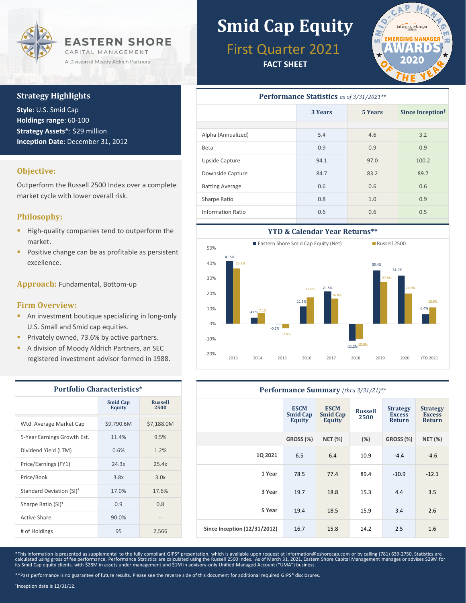

### **Strategy Highlights**

**Style**: U.S. Smid Cap **Holdings range**: 60-100 **Strategy Assets\***: \$29 million **Inception Date**: December 31, 2012

### **Objective:**

Outperform the Russell 2500 Index over a complete market cycle with lower overall risk.

## **Philosophy:**

- **High-quality companies tend to outperform the** market.
- Positive change can be as profitable as persistent excellence.

**Approach:** Fundamental, Bottom-up

#### **Firm Overview:**

- **An investment boutique specializing in long-only** U.S. Small and Smid cap equities.
- **Privately owned, 73.6% by active partners.**
- **A division of Moody Aldrich Partners, an SEC** registered investment advisor formed in 1988.

| <b>Portfolio Characteristics*</b>    |                           |                        |  |  |  |
|--------------------------------------|---------------------------|------------------------|--|--|--|
|                                      | <b>Smid Cap</b><br>Equity | <b>Russell</b><br>2500 |  |  |  |
| Wtd. Average Market Cap              | \$9,790.6M                | \$7,188.0M             |  |  |  |
| 5-Year Earnings Growth Est.          | 11.4%                     | 9.5%                   |  |  |  |
| Dividend Yield (LTM)                 | 0.6%                      | 1.2%                   |  |  |  |
| Price/Earnings (FY1)                 | 24.3x                     | 25.4x                  |  |  |  |
| Price/Book                           | 3.8x                      | 3.0x                   |  |  |  |
| Standard Deviation (SI) <sup>+</sup> | 17.0%                     | 17.6%                  |  |  |  |
| Sharpe Ratio (SI) <sup>+</sup>       | 0.9                       | 0.8                    |  |  |  |
| Active Share                         | 90.0%                     | --                     |  |  |  |
| # of Holdings                        | 95                        | 2,566                  |  |  |  |

# **Smid Cap Equity**

# First Quarter 2021

**FACT SHEET**



# **Performance Statistics** *as of 3/31/2021\*\** **3 Years 5 Years Since Inception†** Alpha (Annualized) 5.4 4.6 3.2 Beta 0.9 0.9 0.9 Upside Capture **94.1** 97.0 100.2 Downside Capture 84.7 83.2 89.7 Batting Average **0.6** 0.6 0.6 0.6 0.6 0.6 Sharpe Ratio **0.8** 1.0 0.9 Information Ratio 0.6 0.6 0.5



| <b>Performance Summary</b> (thru 3/31/21)** |                                          |                                          |                        |                                                   |                                                   |  |
|---------------------------------------------|------------------------------------------|------------------------------------------|------------------------|---------------------------------------------------|---------------------------------------------------|--|
|                                             | <b>ESCM</b><br><b>Smid Cap</b><br>Equity | <b>ESCM</b><br><b>Smid Cap</b><br>Equity | <b>Russell</b><br>2500 | <b>Strategy</b><br><b>Excess</b><br><b>Return</b> | <b>Strategy</b><br><b>Excess</b><br><b>Return</b> |  |
|                                             | GROSS (%)                                | <b>NET (%)</b>                           | (%)                    | GROSS (%)                                         | <b>NET (%)</b>                                    |  |
| 1Q 2021                                     | 6.5                                      | 6.4                                      | 10.9                   | $-4.4$                                            | $-4.6$                                            |  |
| 1 Year                                      | 78.5                                     | 77.4                                     | 89.4                   | $-10.9$                                           | $-12.1$                                           |  |
| 3 Year                                      | 19.7                                     | 18.8                                     | 15.3                   | 4.4                                               | 3.5                                               |  |
| 5 Year                                      | 19.4                                     | 18.5                                     | 15.9                   | 3.4                                               | 2.6                                               |  |
| Since Inception (12/31/2012)                | 16.7                                     | 15.8                                     | 14.2                   | 2.5                                               | 1.6                                               |  |

\*This information is presented as supplemental to the fully compliant GIPS® presentation, which is available upon request at information@eshorecap.com or by calling (781) 639-2750. Statistics are calculated using gross of fee performance. Performance Statistics are calculated using the Russell 2500 Index. As of March 31, 2021, Eastern Shore Capital Management manages or advises \$29M for<br>its Smid Cap equity clients,

† Inception date is 12/31/12.